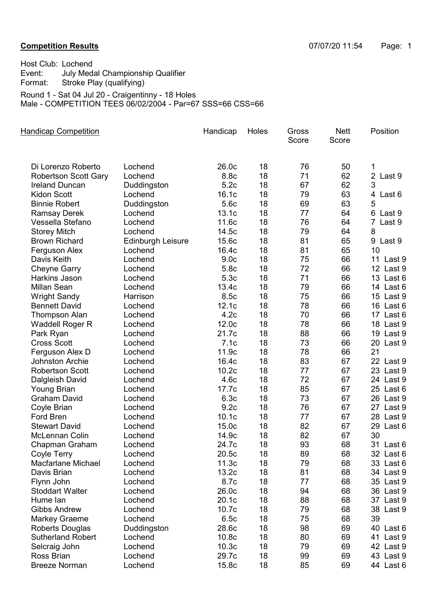## Competition Results 07/07/20 11:54 Page: 1

| Host Club: Lochend                                |                                                           |  |  |  |  |  |
|---------------------------------------------------|-----------------------------------------------------------|--|--|--|--|--|
| Event:                                            | July Medal Championship Qualifier                         |  |  |  |  |  |
| Format:                                           | Stroke Play (qualifying)                                  |  |  |  |  |  |
| Round 1 - Sat 04 Jul 20 - Craigentinny - 18 Holes |                                                           |  |  |  |  |  |
|                                                   | Male - COMPETITION TEES 06/02/2004 - Par=67 SSS=66 CSS=66 |  |  |  |  |  |

**Nett** Score **Gross** Score Handicap Competition **Handicap Holes** Gross Nett Position Di Lorenzo Roberto Lochend 26.0c 50 18 76 1 Robertson Scott Gary Lochend 8.8c 18 71 62 2 Last 9 Ireland Duncan and Duddingston and 5.2c 18 67 62 3 Kidon Scott Lochend 16.1c 18 79 63 4 Last 6 Binnie Robert Duddingston 5.6c 63 18 69 5 Ramsay Derek Lochend 13.1c 18 77 64 6 Last 9 Vessella Stefano Lochend 11.6c 18 76 64 7 Last 9 Storey Mitch **Lochend** 14.5c 18 79 64 8 Brown Richard Edinburgh Leisure 15.6c 18 81 65 9 Last 9 Ferguson Alex Lochend 16.4c 18 81 65 10 Davis Keith Lochend 9.0c 18 75 66 11 Last 9 Cheyne Garry Cochend 5.8c 18 72 66 12 Last 9 Harkins Jason Lochend 5.3c 66 18 71 13 Last 6 Millan Sean Lochend 13.4c 18 79 66 14 Last 6 Wright Sandy **Harrison** 8.5c 18 75 66 15 Last 9 Bennett David Lochend 12.1c 18 78 66 16 Last 6 Thompson Alan Lochend 4.2c 66 18 70 17 Last 6 Waddell Roger R Lochend 12.0c 18 78 66 18 Last 9 Park Ryan Lochend 21.7c 18 88 66 19 Last 9 Cross Scott Lochend 7.1c 18 73 66 20 Last 9 Ferguson Alex D Lochend 11.9c 18 78 66 21 vertical Archie and Lochend 16.4c 18 83 67 22 Last 9<br>
16.4c 18 83 67 22 Last 9<br>
10.2c 18 77 67 23 Last 9 Robertson Scott Lochend 10.2c 18 77 67 Dalgleish David Lochend 4.6c 18 72 67 24 Last 9 Young Brian Lochend 17.7c 18 85 67 25 Last 6 Graham David Lochend 6.3c 18 73 67 26 Last 9 Coyle Brian Lochend 9.2c 18 76 67 27 Last 9 Ford Bren Lochend 10.1c 18 77 67 28 Last 9 Stewart David Cochend 15.0c 18 82 67 29 Last 6 McLennan Colin Lochend 14.9c 18 82 67 30 Chapman Graham Lochend 24.7c 18 93 68 31 Last 6 Coyle Terry Lochend 20.5c 18 89 68 32 Last 6 Macfarlane Michael Lochend 11.3c 68 18 79 33 Last 6 Davis Brian **Lochend** 13.2c 18 81 68 34 Last 9 Flynn John Lochend 8.7c 68 18 77 35 Last 9 Stoddart Walter Lochend 26.0c 18 94 68 36 Last 9 Hume Ian Lochend 20.1c 68 18 88 37 Last 9 Gibbs Andrew Lochend 10.7c 18 79 68 38 Last 9 Markey Graeme Lochend 6.5c 18 75 68 39 Roberts Douglas buddingston 28.6c 18 98 69 40 Last 6 Sutherland Robert Lochend 10.8c 18 80 69 41 Last 9 Selcraig John Cochend 10.3c 18 79 69 42 Last 9 Ross Brian Lochend 29.7c 69 18 99 43 Last 9 Breeze Norman Lochend 15.8c 18 85 69 44 Last 6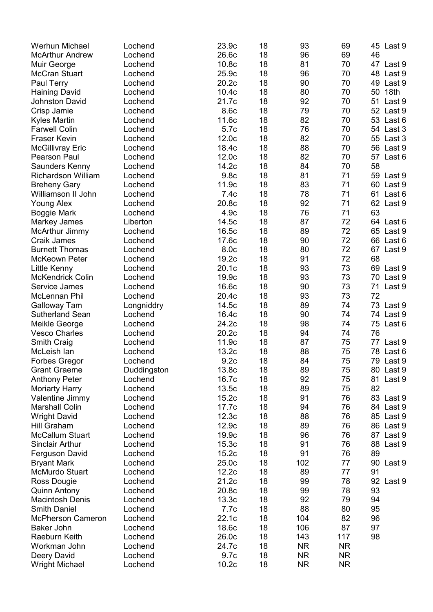| <b>Werhun Michael</b>     | Lochend     | 23.9c            | 18 | 93        | 69        | 45 Last 9    |
|---------------------------|-------------|------------------|----|-----------|-----------|--------------|
| <b>McArthur Andrew</b>    | Lochend     | 26.6c            | 18 | 96        | 69        | 46           |
| Muir George               | Lochend     | 10.8c            | 18 | 81        | 70        | 47 Last 9    |
| <b>McCran Stuart</b>      | Lochend     | 25.9c            | 18 | 96        | 70        | 48<br>Last 9 |
| Paul Terry                | Lochend     | 20.2c            | 18 | 90        | 70        | 49<br>Last 9 |
| <b>Haining David</b>      | Lochend     | 10.4c            | 18 | 80        | 70        | 18th<br>50   |
| <b>Johnston David</b>     | Lochend     | 21.7c            | 18 | 92        | 70        | 51<br>Last 9 |
| Crisp Jamie               | Lochend     | 8.6c             | 18 | 79        | 70        | 52<br>Last 9 |
|                           | Lochend     |                  | 18 | 82        |           |              |
| <b>Kyles Martin</b>       |             | 11.6c            |    |           | 70        | 53<br>Last 6 |
| <b>Farwell Colin</b>      | Lochend     | 5.7c             | 18 | 76        | 70        | 54 Last 3    |
| <b>Fraser Kevin</b>       | Lochend     | 12.0c            | 18 | 82        | 70        | 55<br>Last 3 |
| <b>McGillivray Eric</b>   | Lochend     | 18.4c            | 18 | 88        | 70        | 56<br>Last 9 |
| <b>Pearson Paul</b>       | Lochend     | 12.0c            | 18 | 82        | 70        | 57<br>Last 6 |
| Saunders Kenny            | Lochend     | 14.2c            | 18 | 84        | 70        | 58           |
| <b>Richardson William</b> | Lochend     | 9.8 <sub>c</sub> | 18 | 81        | 71        | 59<br>Last 9 |
| <b>Breheny Gary</b>       | Lochend     | 11.9c            | 18 | 83        | 71        | 60<br>Last 9 |
| Williamson II John        | Lochend     | 7.4c             | 18 | 78        | 71        | 61<br>Last 6 |
| <b>Young Alex</b>         | Lochend     | 20.8c            | 18 | 92        | 71        | 62<br>Last 9 |
| <b>Boggie Mark</b>        | Lochend     | 4.9c             | 18 | 76        | 71        | 63           |
| Markey James              | Liberton    | 14.5c            | 18 | 87        | 72        | 64 Last 6    |
| <b>McArthur Jimmy</b>     | Lochend     | 16.5c            | 18 | 89        | 72        | 65<br>Last 9 |
| <b>Craik James</b>        | Lochend     | 17.6c            | 18 | 90        | 72        | 66<br>Last 6 |
| <b>Burnett Thomas</b>     | Lochend     | 8.0 <sub>c</sub> | 18 | 80        | 72        | 67<br>Last 9 |
| <b>McKeown Peter</b>      | Lochend     | 19.2c            | 18 | 91        | 72        | 68           |
| <b>Little Kenny</b>       | Lochend     | 20.1c            | 18 | 93        | 73        | 69<br>Last 9 |
| <b>McKendrick Colin</b>   | Lochend     | 19.9c            | 18 | 93        | 73        | 70<br>Last 9 |
| Service James             | Lochend     | 16.6c            | 18 | 90        | 73        | 71<br>Last 9 |
| McLennan Phil             | Lochend     | 20.4c            | 18 | 93        | 73        | 72           |
| <b>Galloway Tam</b>       | Longniddry  | 14.5c            | 18 | 89        | 74        | 73<br>Last 9 |
| <b>Sutherland Sean</b>    | Lochend     | 16.4c            | 18 | 90        | 74        | 74 Last 9    |
| Meikle George             | Lochend     | 24.2c            | 18 | 98        | 74        | 75<br>Last 6 |
| <b>Vesco Charles</b>      | Lochend     | 20.2c            | 18 | 94        | 74        | 76           |
| Smith Craig               | Lochend     | 11.9c            | 18 | 87        | 75        | 77<br>Last 9 |
| McLeish lan               | Lochend     | 13.2c            | 18 | 88        | 75        | 78<br>Last 6 |
| <b>Forbes Gregor</b>      | Lochend     | 9.2c             | 18 | 84        | 75        | 79<br>Last 9 |
| <b>Grant Graeme</b>       | Duddingston | 13.8c            | 18 | 89        | 75        | 80 Last 9    |
| <b>Anthony Peter</b>      | Lochend     | 16.7c            | 18 | 92        | 75        | 81<br>Last 9 |
|                           | Lochend     | 13.5c            | 18 | 89        |           | 82           |
| <b>Moriarty Harry</b>     |             |                  |    |           | 75        |              |
| Valentine Jimmy           | Lochend     | 15.2c            | 18 | 91        | 76        | 83 Last 9    |
| <b>Marshall Colin</b>     | Lochend     | 17.7c            | 18 | 94        | 76        | 84 Last 9    |
| <b>Wright David</b>       | Lochend     | 12.3c            | 18 | 88        | 76        | 85 Last 9    |
| Hill Graham               | Lochend     | 12.9c            | 18 | 89        | 76        | 86 Last 9    |
| <b>McCallum Stuart</b>    | Lochend     | 19.9c            | 18 | 96        | 76        | 87 Last 9    |
| <b>Sinclair Arthur</b>    | Lochend     | 15.3c            | 18 | 91        | 76        | 88<br>Last 9 |
| Ferguson David            | Lochend     | 15.2c            | 18 | 91        | 76        | 89           |
| <b>Bryant Mark</b>        | Lochend     | 25.0c            | 18 | 102       | 77        | 90<br>Last 9 |
| <b>McMurdo Stuart</b>     | Lochend     | 12.2c            | 18 | 89        | 77        | 91           |
| Ross Dougie               | Lochend     | 21.2c            | 18 | 99        | 78        | 92 Last 9    |
| <b>Quinn Antony</b>       | Lochend     | 20.8c            | 18 | 99        | 78        | 93           |
| <b>Macintosh Denis</b>    | Lochend     | 13.3c            | 18 | 92        | 79        | 94           |
| <b>Smith Daniel</b>       | Lochend     | 7.7c             | 18 | 88        | 80        | 95           |
| <b>McPherson Cameron</b>  | Lochend     | 22.1c            | 18 | 104       | 82        | 96           |
| <b>Baker John</b>         | Lochend     | 18.6c            | 18 | 106       | 87        | 97           |
| Raeburn Keith             | Lochend     | 26.0c            | 18 | 143       | 117       | 98           |
| Workman John              | Lochend     | 24.7c            | 18 | <b>NR</b> | <b>NR</b> |              |
| Deery David               | Lochend     | 9.7c             | 18 | <b>NR</b> | <b>NR</b> |              |
| <b>Wright Michael</b>     | Lochend     | 10.2c            | 18 | <b>NR</b> | <b>NR</b> |              |